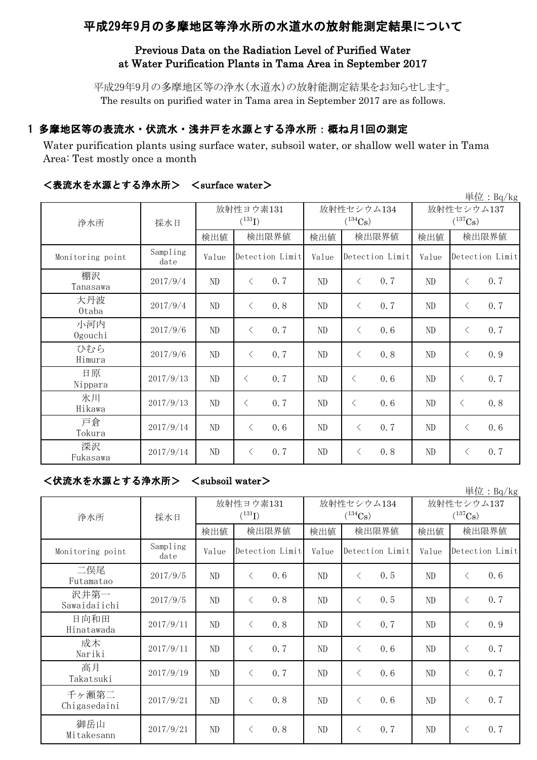# 平成29年9月の多摩地区等浄水所の水道水の放射能測定結果について

## Previous Data on the Radiation Level of Purified Water at Water Purification Plants in Tama Area in September 2017

平成29年9月の多摩地区等の浄水(水道水)の放射能測定結果をお知らせします。 The results on purified water in Tama area in September 2017 are as follows.

## 1 多摩地区等の表流水・伏流水・浅井戸を水源とする浄水所:概ね月1回の測定

Water purification plants using surface water, subsoil water, or shallow well water in Tama Area: Test mostly once a month

| 単位: Bq/kg        |                  |                          |                 |     |                                     |                 |     |                            |           |                 |
|------------------|------------------|--------------------------|-----------------|-----|-------------------------------------|-----------------|-----|----------------------------|-----------|-----------------|
| 浄水所              | 採水日              | 放射性ヨウ素131<br>$(^{131}I)$ |                 |     | 放射性セシウム134<br>$(^{134}\mathrm{Cs})$ |                 |     | 放射性セシウム137<br>$(^{137}Cs)$ |           |                 |
|                  |                  | 検出値                      | 検出限界値           |     | 検出値                                 | 検出限界値           |     | 検出値                        | 検出限界値     |                 |
| Monitoring point | Sampling<br>date | Value                    | Detection Limit |     | Value                               | Detection Limit |     | Value                      |           | Detection Limit |
| 棚沢<br>Tanasawa   | 2017/9/4         | ND                       | $\lt$           | 0.7 | ND                                  | $\langle$       | 0.7 | ND                         | $\langle$ | 0.7             |
| 大丹波<br>0taba     | 2017/9/4         | ND                       | $\lt$           | 0.8 | ND                                  | $\lt$           | 0.7 | ND                         | $\langle$ | 0.7             |
| 小河内<br>Ogouchi   | 2017/9/6         | ND                       | $\lt$           | 0.7 | ND                                  | $\langle$       | 0.6 | ND                         | $\langle$ | 0.7             |
| ひむら<br>Himura    | 2017/9/6         | ND                       | $\langle$       | 0.7 | ND                                  | $\langle$       | 0.8 | ND                         | $\langle$ | 0.9             |
| 日原<br>Nippara    | 2017/9/13        | ND                       | $\langle$       | 0.7 | ND                                  | $\lt$           | 0.6 | ND                         | $\langle$ | 0.7             |
| 氷川<br>Hikawa     | 2017/9/13        | $\rm ND$                 | $\langle$       | 0.7 | $\rm ND$                            | $\langle$       | 0.6 | ND                         | $\langle$ | 0.8             |
| 戸倉<br>Tokura     | 2017/9/14        | ND                       | $\lt$           | 0.6 | ND                                  | $\lt$           | 0.7 | ND                         | $\langle$ | 0.6             |
| 深沢<br>Fukasawa   | 2017/9/14        | ${\rm ND}$               | $\langle$       | 0.7 | ND                                  | $\lt$           | 0.8 | ND                         | $\langle$ | 0.7             |

### <表流水を水源とする浄水所> <surface water>

<伏流水を水源とする浄水所> <subsoil water>

|                       |                  |       |                          |       |                            |                                     | $+12 \cdot 10^{1/10}$ |  |
|-----------------------|------------------|-------|--------------------------|-------|----------------------------|-------------------------------------|-----------------------|--|
|                       | 採水日              |       | 放射性ヨウ素131<br>$(^{131}I)$ |       | 放射性セシウム134<br>$(^{134}Cs)$ | 放射性セシウム137<br>$(^{137}\mathrm{Cs})$ |                       |  |
| 浄水所                   |                  |       |                          |       |                            |                                     |                       |  |
|                       |                  | 検出値   | 検出限界値                    | 検出値   | 検出限界値                      | 検出値                                 | 検出限界値                 |  |
| Monitoring point      | Sampling<br>date | Value | Detection Limit          | Value | Detection Limit            | Value                               | Detection Limit       |  |
| 二俣尾<br>Futamatao      | 2017/9/5         | ND    | 0.6<br>$\langle$         | ND    | 0.5<br>$\langle$           | ND                                  | 0.6<br>$\langle$      |  |
| 沢井第一<br>Sawaidaiichi  | 2017/9/5         | ND    | 0.8<br>$\lt$             | ND    | 0.5<br>$\langle$           | ND                                  | 0.7<br>$\langle$      |  |
| 日向和田<br>Hinatawada    | 2017/9/11        | ND    | 0.8<br>$\langle$         | ND    | 0.7<br>$\langle$           | ND                                  | 0.9<br>$\langle$      |  |
| 成木<br>Nariki          | 2017/9/11        | ND    | 0.7<br>⟨                 | ND    | 0.6<br>$\langle$           | ND                                  | 0.7<br>$\langle$      |  |
| 高月<br>Takatsuki       | 2017/9/19        | ND    | 0.7<br>$\langle$         | ND    | 0.6<br>$\langle$           | ND                                  | 0.7<br>$\langle$      |  |
| 千ヶ瀬第二<br>Chigasedaini | 2017/9/21        | ND    | 0.8<br>$\lt$             | ND    | 0.6<br>$\lt$               | ND                                  | 0.7<br>$\lt$          |  |
| 御岳山<br>Mitakesann     | 2017/9/21        | ND    | 0.8<br>⟨                 | ND    | 0.7<br>$\langle$           | ND                                  | 0.7<br>$\langle$      |  |

道位:  $B_0/k_0$